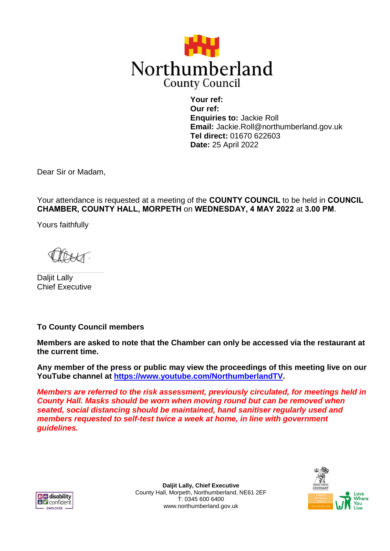

**Your ref: Our ref: Enquiries to:** Jackie Roll **Email:** Jackie.Roll@northumberland.gov.uk **Tel direct:** 01670 622603 **Date:** 25 April 2022

Dear Sir or Madam,

Your attendance is requested at a meeting of the **COUNTY COUNCIL** to be held in **COUNCIL CHAMBER, COUNTY HALL, MORPETH** on **WEDNESDAY, 4 MAY 2022** at **3.00 PM**.

Yours faithfully

Daljit Lally Chief Executive

**To County Council members**

**Members are asked to note that the Chamber can only be accessed via the restaurant at the current time.**

**Any member of the press or public may view the proceedings of this meeting live on our YouTube channel at [https://www.youtube.com/NorthumberlandTV.](https://www.youtube.com/NorthumberlandTV)** 

*Members are referred to the risk assessment, previously circulated, for meetings held in County Hall. Masks should be worn when moving round but can be removed when seated, social distancing should be maintained, hand sanitiser regularly used and members requested to self-test twice a week at home, in line with government guidelines.*



**Daljit Lally, Chief Executive** County Hall, Morpeth, Northumberland, NE61 2EF T: 0345 600 6400 www.northumberland.gov.uk

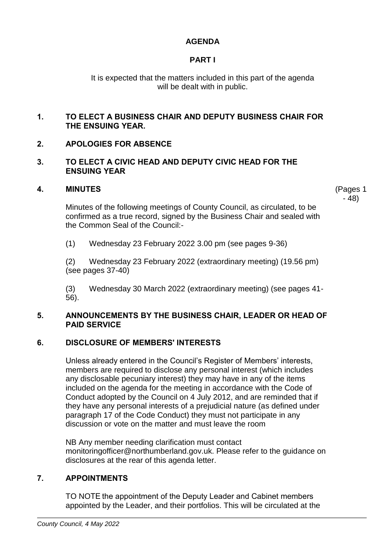# **AGENDA**

# **PART I**

It is expected that the matters included in this part of the agenda will be dealt with in public.

## **1. TO ELECT A BUSINESS CHAIR AND DEPUTY BUSINESS CHAIR FOR THE ENSUING YEAR.**

# **2. APOLOGIES FOR ABSENCE**

### **3. TO ELECT A CIVIC HEAD AND DEPUTY CIVIC HEAD FOR THE ENSUING YEAR**

## **4. MINUTES**

(Pages 1 - 48)

Minutes of the following meetings of County Council, as circulated, to be confirmed as a true record, signed by the Business Chair and sealed with the Common Seal of the Council:-

(1) Wednesday 23 February 2022 3.00 pm (see pages 9-36)

(2) Wednesday 23 February 2022 (extraordinary meeting) (19.56 pm) (see pages 37-40)

(3) Wednesday 30 March 2022 (extraordinary meeting) (see pages 41- 56).

### **5. ANNOUNCEMENTS BY THE BUSINESS CHAIR, LEADER OR HEAD OF PAID SERVICE**

# **6. DISCLOSURE OF MEMBERS' INTERESTS**

Unless already entered in the Council's Register of Members' interests, members are required to disclose any personal interest (which includes any disclosable pecuniary interest) they may have in any of the items included on the agenda for the meeting in accordance with the Code of Conduct adopted by the Council on 4 July 2012, and are reminded that if they have any personal interests of a prejudicial nature (as defined under paragraph 17 of the Code Conduct) they must not participate in any discussion or vote on the matter and must leave the room

NB Any member needing clarification must contact monitoringofficer@northumberland.gov.uk. Please refer to the guidance on disclosures at the rear of this agenda letter.

# **7. APPOINTMENTS**

TO NOTE the appointment of the Deputy Leader and Cabinet members appointed by the Leader, and their portfolios. This will be circulated at the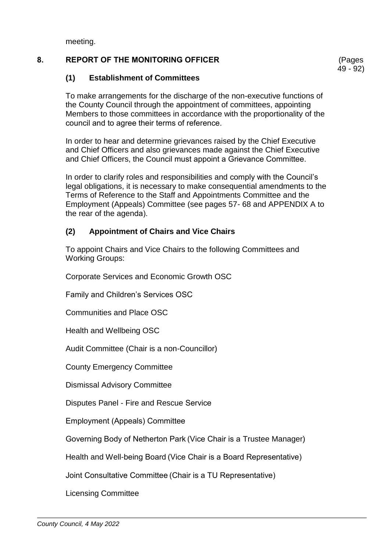meeting.

# **8. REPORT OF THE MONITORING OFFICER**

(Pages 49 - 92)

# **(1) Establishment of Committees**

To make arrangements for the discharge of the non-executive functions of the County Council through the appointment of committees, appointing Members to those committees in accordance with the proportionality of the council and to agree their terms of reference.  

In order to hear and determine grievances raised by the Chief Executive and Chief Officers and also grievances made against the Chief Executive and Chief Officers, the Council must appoint a Grievance Committee. 

In order to clarify roles and responsibilities and comply with the Council's legal obligations, it is necessary to make consequential amendments to the Terms of Reference to the Staff and Appointments Committee and the Employment (Appeals) Committee (see pages 57- 68 and APPENDIX A to the rear of the agenda). 

# **(2) Appointment of Chairs and Vice Chairs**

To appoint Chairs and Vice Chairs to the following Committees and Working Groups:

Corporate Services and Economic Growth OSC

Family and Children's Services OSC

Communities and Place OSC

Health and Wellbeing OSC

Audit Committee (Chair is a non-Councillor)

County Emergency Committee

Dismissal Advisory Committee

Disputes Panel - Fire and Rescue Service 

Employment (Appeals) Committee 

Governing Body of Netherton Park (Vice Chair is a Trustee Manager)

Health and Well-being Board (Vice Chair is a Board Representative)

Joint Consultative Committee (Chair is a TU Representative)

Licensing Committee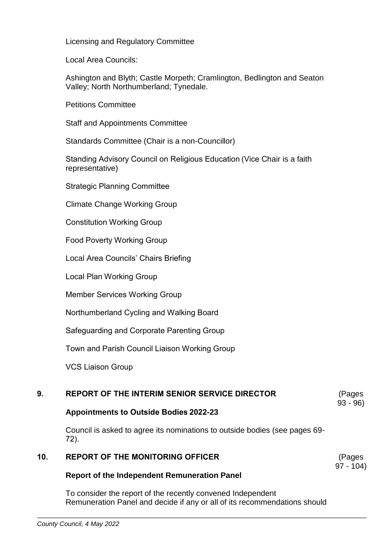Licensing and Regulatory Committee

Local Area Councils:

Ashington and Blyth; Castle Morpeth; Cramlington, Bedlington and Seaton Valley; North Northumberland; Tynedale.

Petitions Committee

Staff and Appointments Committee

Standards Committee (Chair is a non-Councillor)

Standing Advisory Council on Religious Education (Vice Chair is a faith representative)

Strategic Planning Committee 

Climate Change Working Group

Constitution Working Group  

Food Poverty Working Group  

Local Area Councils' Chairs Briefing 

Local Plan Working Group 

Member Services Working Group 

Northumberland Cycling and Walking Board 

Safeguarding and Corporate Parenting Group 

Town and Parish Council Liaison Working Group 

VCS Liaison Group 

#### **9. REPORT OF THE INTERIM SENIOR SERVICE DIRECTOR** (Pages

93 - 96)

# **Appointments to Outside Bodies 2022-23**

Council is asked to agree its nominations to outside bodies (see pages 69- 72).  

#### **10. REPORT OF THE MONITORING OFFICER** (Pages 97 - 104)

# **Report of the Independent Remuneration Panel**

To consider the report of the recently convened Independent Remuneration Panel and decide if any or all of its recommendations should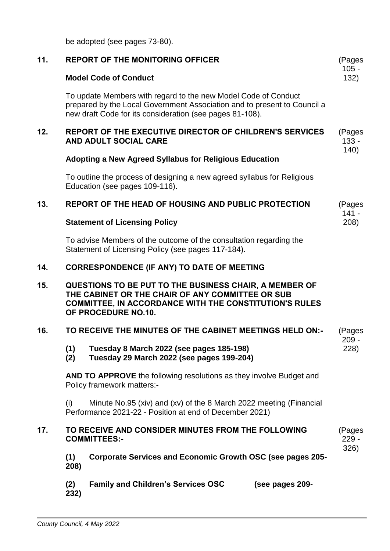be adopted (see pages 73-80). 

| 11. | <b>REPORT OF THE MONITORING OFFICER</b>                                                                                                                                                                | (Pages<br>$105 -$         |  |
|-----|--------------------------------------------------------------------------------------------------------------------------------------------------------------------------------------------------------|---------------------------|--|
|     | <b>Model Code of Conduct</b>                                                                                                                                                                           | 132)                      |  |
|     | To update Members with regard to the new Model Code of Conduct<br>prepared by the Local Government Association and to present to Council a<br>new draft Code for its consideration (see pages 81-108). |                           |  |
| 12. | <b>REPORT OF THE EXECUTIVE DIRECTOR OF CHILDREN'S SERVICES</b><br>AND ADULT SOCIAL CARE                                                                                                                | (Pages<br>$133 -$<br>140) |  |
|     | <b>Adopting a New Agreed Syllabus for Religious Education</b>                                                                                                                                          |                           |  |
|     | To outline the process of designing a new agreed syllabus for Religious<br>Education (see pages 109-116).                                                                                              |                           |  |
| 13. | REPORT OF THE HEAD OF HOUSING AND PUBLIC PROTECTION                                                                                                                                                    | (Pages<br>$141 -$         |  |
|     | <b>Statement of Licensing Policy</b>                                                                                                                                                                   | 208)                      |  |
|     | To advise Members of the outcome of the consultation regarding the<br>Statement of Licensing Policy (see pages 117-184).                                                                               |                           |  |
| 14. | <b>CORRESPONDENCE (IF ANY) TO DATE OF MEETING</b>                                                                                                                                                      |                           |  |
| 15. | QUESTIONS TO BE PUT TO THE BUSINESS CHAIR, A MEMBER OF<br>THE CABINET OR THE CHAIR OF ANY COMMITTEE OR SUB<br><b>COMMITTEE, IN ACCORDANCE WITH THE CONSTITUTION'S RULES</b><br>OF PROCEDURE NO.10.     |                           |  |
| 16. | TO RECEIVE THE MINUTES OF THE CABINET MEETINGS HELD ON:-                                                                                                                                               |                           |  |
|     | Tuesday 8 March 2022 (see pages 185-198)<br>(1)<br>Tuesday 29 March 2022 (see pages 199-204)<br>(2)                                                                                                    | $209 -$<br>228)           |  |
|     | <b>AND TO APPROVE</b> the following resolutions as they involve Budget and<br>Policy framework matters:-                                                                                               |                           |  |
|     | Minute No.95 (xiv) and (xv) of the 8 March 2022 meeting (Financial<br>(i)<br>Performance 2021-22 - Position at end of December 2021)                                                                   |                           |  |
| 17. | TO RECEIVE AND CONSIDER MINUTES FROM THE FOLLOWING<br><b>COMMITTEES:-</b>                                                                                                                              | (Pages<br>$229 -$         |  |
|     | Corporate Services and Economic Growth OSC (see pages 205-<br>(1)<br>208)                                                                                                                              | 326)                      |  |
|     | <b>Family and Children's Services OSC</b><br>(2)<br>(see pages 209-<br>232)                                                                                                                            |                           |  |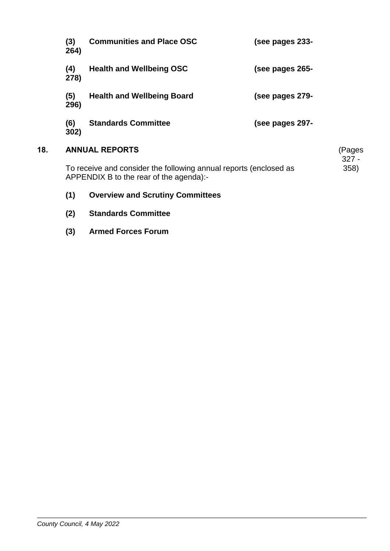| (3)<br>264)                                                                                                  | <b>Communities and Place OSC</b>  | (see pages 233- |                   |
|--------------------------------------------------------------------------------------------------------------|-----------------------------------|-----------------|-------------------|
| (4)<br>278)                                                                                                  | <b>Health and Wellbeing OSC</b>   | (see pages 265- |                   |
| (5)<br>296)                                                                                                  | <b>Health and Wellbeing Board</b> | (see pages 279- |                   |
| (6)<br>302)                                                                                                  | <b>Standards Committee</b>        | (see pages 297- |                   |
| <b>ANNUAL REPORTS</b>                                                                                        |                                   |                 | (Pages<br>$327 -$ |
| To receive and consider the following annual reports (enclosed as<br>APPENDIX B to the rear of the agenda):- |                                   |                 |                   |

- **(1) Overview and Scrutiny Committees**
- **(2) Standards Committee**

**18.** 

**(3) Armed Forces Forum**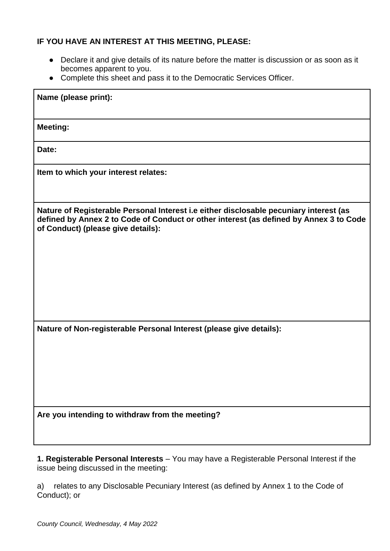# **IF YOU HAVE AN INTEREST AT THIS MEETING, PLEASE:**

- Declare it and give details of its nature before the matter is discussion or as soon as it becomes apparent to you.
- Complete this sheet and pass it to the Democratic Services Officer.

| Name (please print):                                                                                                                                                                                                   |
|------------------------------------------------------------------------------------------------------------------------------------------------------------------------------------------------------------------------|
| <b>Meeting:</b>                                                                                                                                                                                                        |
| Date:                                                                                                                                                                                                                  |
| Item to which your interest relates:                                                                                                                                                                                   |
| Nature of Registerable Personal Interest i.e either disclosable pecuniary interest (as<br>defined by Annex 2 to Code of Conduct or other interest (as defined by Annex 3 to Code<br>of Conduct) (please give details): |
| Nature of Non-registerable Personal Interest (please give details):                                                                                                                                                    |
| Are you intending to withdraw from the meeting?                                                                                                                                                                        |

**1. Registerable Personal Interests** – You may have a Registerable Personal Interest if the issue being discussed in the meeting:

a) relates to any Disclosable Pecuniary Interest (as defined by Annex 1 to the Code of Conduct); or